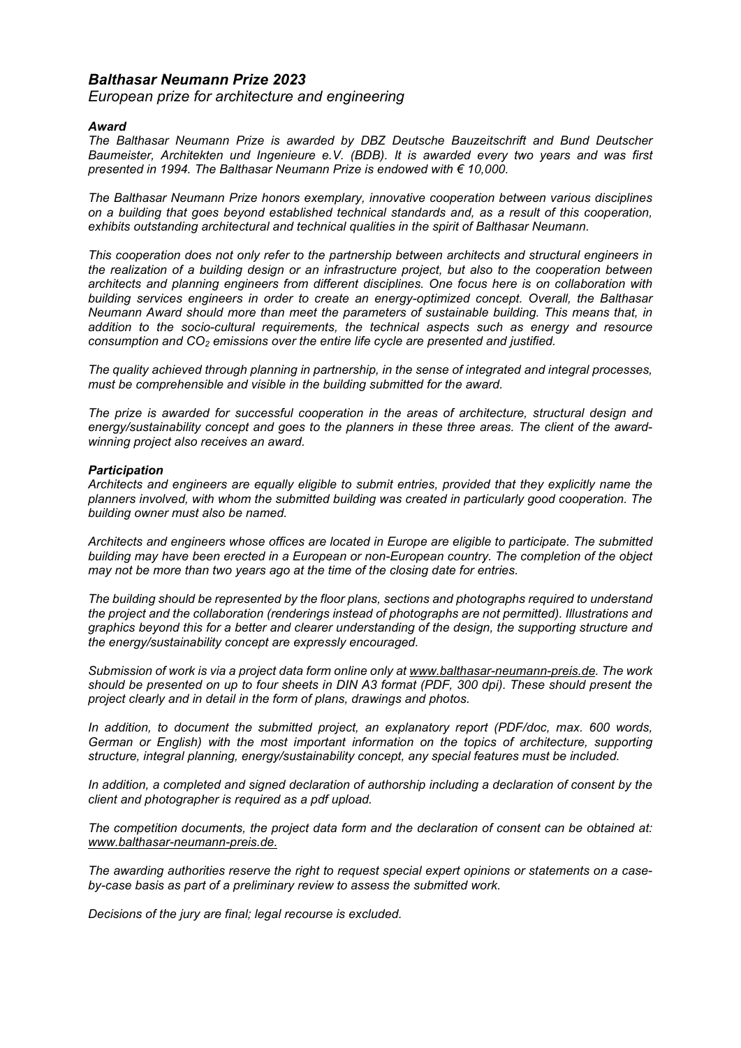# *Balthasar Neumann Prize 2023*

*European prize for architecture and engineering*

# *Award*

*The Balthasar Neumann Prize is awarded by DBZ Deutsche Bauzeitschrift and Bund Deutscher Baumeister, Architekten und Ingenieure e.V. (BDB). It is awarded every two years and was first presented in 1994. The Balthasar Neumann Prize is endowed with € 10,000.*

*The Balthasar Neumann Prize honors exemplary, innovative cooperation between various disciplines on a building that goes beyond established technical standards and, as a result of this cooperation, exhibits outstanding architectural and technical qualities in the spirit of Balthasar Neumann.*

*This cooperation does not only refer to the partnership between architects and structural engineers in the realization of a building design or an infrastructure project, but also to the cooperation between architects and planning engineers from different disciplines. One focus here is on collaboration with building services engineers in order to create an energy-optimized concept. Overall, the Balthasar Neumann Award should more than meet the parameters of sustainable building. This means that, in addition to the socio-cultural requirements, the technical aspects such as energy and resource consumption and CO2 emissions over the entire life cycle are presented and justified.*

*The quality achieved through planning in partnership, in the sense of integrated and integral processes, must be comprehensible and visible in the building submitted for the award.*

*The prize is awarded for successful cooperation in the areas of architecture, structural design and energy/sustainability concept and goes to the planners in these three areas. The client of the awardwinning project also receives an award.*

## *Participation*

*Architects and engineers are equally eligible to submit entries, provided that they explicitly name the planners involved, with whom the submitted building was created in particularly good cooperation. The building owner must also be named.*

*Architects and engineers whose offices are located in Europe are eligible to participate. The submitted building may have been erected in a European or non-European country. The completion of the object may not be more than two years ago at the time of the closing date for entries.*

*The building should be represented by the floor plans, sections and photographs required to understand the project and the collaboration (renderings instead of photographs are not permitted). Illustrations and graphics beyond this for a better and clearer understanding of the design, the supporting structure and the energy/sustainability concept are expressly encouraged.*

*Submission of work is via a project data form online only at www.balthasar-neumann-preis.de. The work should be presented on up to four sheets in DIN A3 format (PDF, 300 dpi). These should present the project clearly and in detail in the form of plans, drawings and photos.* 

*In addition, to document the submitted project, an explanatory report (PDF/doc, max. 600 words, German or English) with the most important information on the topics of architecture, supporting structure, integral planning, energy/sustainability concept, any special features must be included.* 

*In addition, a completed and signed declaration of authorship including a declaration of consent by the client and photographer is required as a pdf upload.*

*The competition documents, the project data form and the declaration of consent can be obtained at: www.balthasar-neumann-preis.de.*

*The awarding authorities reserve the right to request special expert opinions or statements on a caseby-case basis as part of a preliminary review to assess the submitted work.*

*Decisions of the jury are final; legal recourse is excluded.*